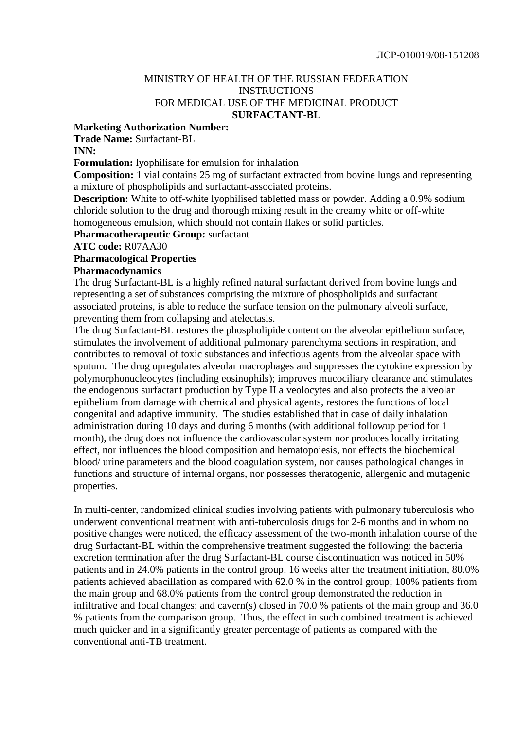## MINISTRY OF HEALTH OF THE RUSSIAN FEDERATION INSTRUCTIONS FOR MEDICAL USE OF THE MEDICINAL PRODUCT **SURFACTANT-BL**

#### **Marketing Authorization Number:**

**Trade Name:** Surfactant-BL

#### **INN:**

**Formulation:** lyophilisate for emulsion for inhalation

**Composition:** 1 vial contains 25 mg of surfactant extracted from bovine lungs and representing a mixture of phospholipids and surfactant-associated proteins.

**Description:** White to off-white lyophilised tabletted mass or powder. Adding a 0.9% sodium chloride solution to the drug and thorough mixing result in the creamy white or off-white homogeneous emulsion, which should not contain flakes or solid particles.

**Pharmacotherapeutic Group:** surfactant

**ATC code:** R07AA30

#### **Pharmacological Properties**

#### **Pharmacodynamics**

The drug Surfactant-BL is a highly refined natural surfactant derived from bovine lungs and representing a set of substances comprising the mixture of phospholipids and surfactant associated proteins, is able to reduce the surface tension on the pulmonary alveoli surface, preventing them from collapsing and atelectasis.

The drug Surfactant-BL restores the phospholipide content on the alveolar epithelium surface, stimulates the involvement of additional pulmonary parenchyma sections in respiration, and contributes to removal of toxic substances and infectious agents from the alveolar space with sputum. The drug upregulates alveolar macrophages and suppresses the cytokine expression by polymorphonucleocytes (including eosinophils); improves mucociliary clearance and stimulates the endogenous surfactant production by Type II alveolocytes and also protects the alveolar epithelium from damage with chemical and physical agents, restores the functions of local congenital and adaptive immunity. The studies established that in case of daily inhalation administration during 10 days and during 6 months (with additional followup period for 1 month), the drug does not influence the cardiovascular system nor produces locally irritating effect, nor influences the blood composition and hematopoiesis, nor effects the biochemical blood/ urine parameters and the blood coagulation system, nor causes pathological changes in functions and structure of internal organs, nor possesses theratogenic, allergenic and mutagenic properties.

In multi-center, randomized clinical studies involving patients with pulmonary tuberculosis who underwent conventional treatment with anti-tuberculosis drugs for 2-6 months and in whom no positive changes were noticed, the efficacy assessment of the two-month inhalation course of the drug Surfactant-BL within the comprehensive treatment suggested the following: the bacteria excretion termination after the drug Surfactant-BL course discontinuation was noticed in 50% patients and in 24.0% patients in the control group. 16 weeks after the treatment initiation, 80.0% patients achieved abacillation as compared with 62.0 % in the control group; 100% patients from the main group and 68.0% patients from the control group demonstrated the reduction in infiltrative and focal changes; and cavern(s) closed in 70.0 % patients of the main group and 36.0 % patients from the comparison group. Thus, the effect in such combined treatment is achieved much quicker and in a significantly greater percentage of patients as compared with the conventional anti-TB treatment.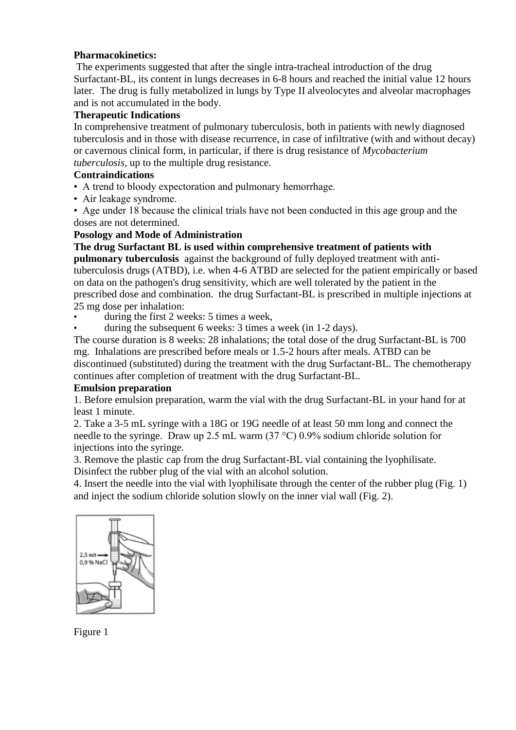## **Pharmacokinetics:**

The experiments suggested that after the single intra-tracheal introduction of the drug Surfactant-BL, its content in lungs decreases in 6-8 hours and reached the initial value 12 hours later. The drug is fully metabolized in lungs by Type II alveolocytes and alveolar macrophages and is not accumulated in the body.

## **Therapeutic Indications**

In comprehensive treatment of pulmonary tuberculosis, both in patients with newly diagnosed tuberculosis and in those with disease recurrence, in case of infiltrative (with and without decay) or cavernous clinical form, in particular, if there is drug resistance of *Mycobacterium tuberculosis,* up to the multiple drug resistance.

## **Contraindications**

- A trend to bloody expectoration and pulmonary hemorrhage.
- Air leakage syndrome.
- Age under 18 because the clinical trials have not been conducted in this age group and the doses are not determined.

## **Posology and Mode of Administration**

**The drug Surfactant BL is used within comprehensive treatment of patients with pulmonary tuberculosis** against the background of fully deployed treatment with antituberculosis drugs (ATBD), i.e. when 4-6 ATBD are selected for the patient empirically or based on data on the pathogen's drug sensitivity, which are well tolerated by the patient in the prescribed dose and combination. the drug Surfactant-BL is prescribed in multiple injections at 25 mg dose per inhalation:

- during the first 2 weeks: 5 times a week.
- during the subsequent 6 weeks: 3 times a week (in 1-2 days).

The course duration is 8 weeks: 28 inhalations; the total dose of the drug Surfactant-BL is 700 mg. Inhalations are prescribed before meals or 1.5-2 hours after meals. ATBD can be discontinued (substituted) during the treatment with the drug Surfactant-BL. The chemotherapy continues after completion of treatment with the drug Surfactant-BL.

#### **Emulsion preparation**

1. Before emulsion preparation, warm the vial with the drug Surfactant-BL in your hand for at least 1 minute.

2. Take a 3-5 mL syringe with a 18G or 19G needle of at least 50 mm long and connect the needle to the syringe. Draw up 2.5 mL warm (37 °С) 0.9% sodium chloride solution for injections into the syringe.

3. Remove the plastic cap from the drug Surfactant-BL vial containing the lyophilisate.

Disinfect the rubber plug of the vial with an alcohol solution.

4. Insert the needle into the vial with lyophilisate through the center of the rubber plug (Fig. 1) and inject the sodium chloride solution slowly on the inner vial wall (Fig. 2).



Figure 1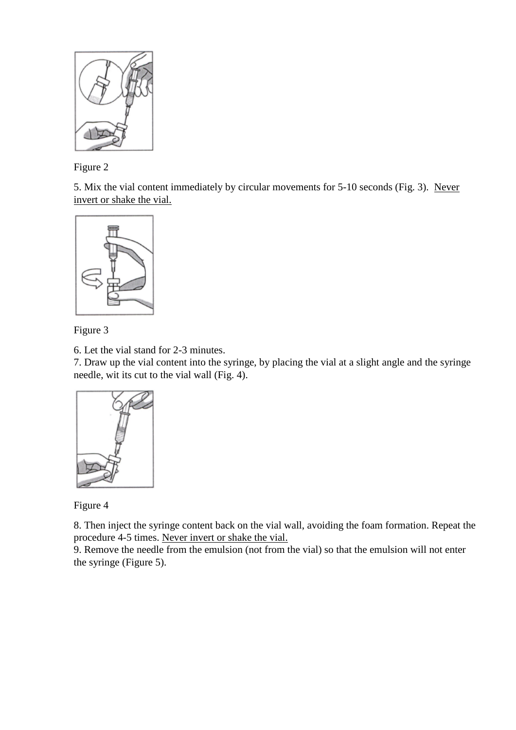

Figure 2

5. Mix the vial content immediately by circular movements for 5-10 seconds (Fig. 3). Never invert or shake the vial.





6. Let the vial stand for 2-3 minutes.

7. Draw up the vial content into the syringe, by placing the vial at a slight angle and the syringe needle, wit its cut to the vial wall (Fig. 4).



Figure 4

8. Then inject the syringe content back on the vial wall, avoiding the foam formation. Repeat the procedure 4-5 times. Never invert or shake the vial.

9. Remove the needle from the emulsion (not from the vial) so that the emulsion will not enter the syringe (Figure 5).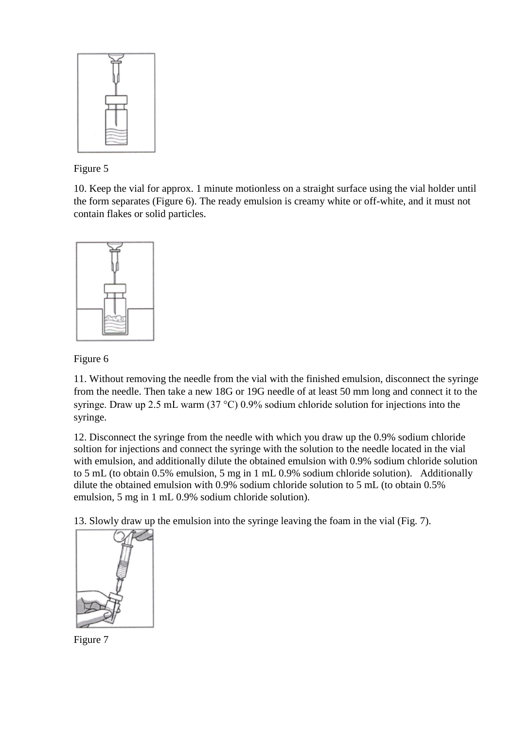

Figure 5

10. Keep the vial for approx. 1 minute motionless on a straight surface using the vial holder until the form separates (Figure 6). The ready emulsion is creamy white or off-white, and it must not contain flakes or solid particles.



Figure 6

11. Without removing the needle from the vial with the finished emulsion, disconnect the syringe from the needle. Then take a new 18G or 19G needle of at least 50 mm long and connect it to the syringe. Draw up 2.5 mL warm (37 °С) 0.9% sodium chloride solution for injections into the syringe.

12. Disconnect the syringe from the needle with which you draw up the 0.9% sodium chloride soltion for injections and connect the syringe with the solution to the needle located in the vial with emulsion, and additionally dilute the obtained emulsion with 0.9% sodium chloride solution to 5 mL (to obtain 0.5% emulsion, 5 mg in 1 mL 0.9% sodium chloride solution). Additionally dilute the obtained emulsion with 0.9% sodium chloride solution to 5 mL (to obtain 0.5% emulsion, 5 mg in 1 mL 0.9% sodium chloride solution).

13. Slowly draw up the emulsion into the syringe leaving the foam in the vial (Fig. 7).



Figure 7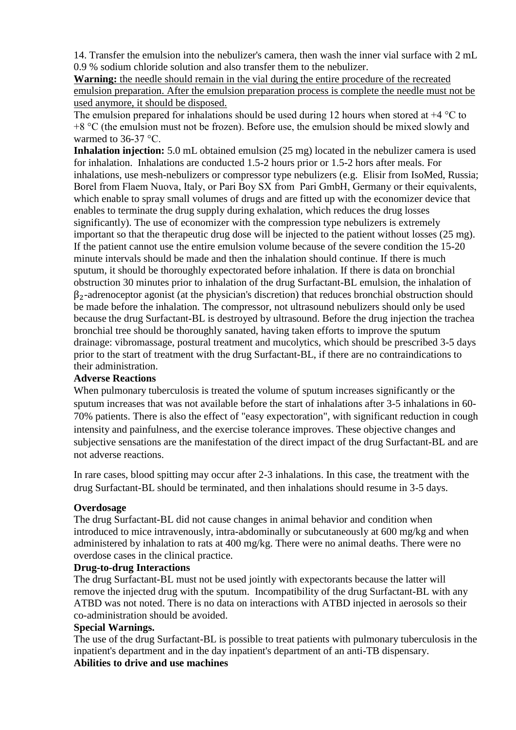14. Transfer the emulsion into the nebulizer's camera, then wash the inner vial surface with 2 mL 0.9 % sodium chloride solution and also transfer them to the nebulizer.

**Warning:** the needle should remain in the vial during the entire procedure of the recreated emulsion preparation. After the emulsion preparation process is complete the needle must not be used anymore, it should be disposed.

The emulsion prepared for inhalations should be used during 12 hours when stored at  $+4 \degree C$  to +8 °С (the emulsion must not be frozen). Before use, the emulsion should be mixed slowly and warmed to  $36-37$  °C.

**Inhalation injection:** 5.0 mL obtained emulsion (25 mg) located in the nebulizer camera is used for inhalation. Inhalations are conducted 1.5-2 hours prior or 1.5-2 hors after meals. For inhalations, use mesh-nebulizers or compressor type nebulizers (e.g. Elisir from IsoMed, Russia; Borel from Flaem Nuova, Italy, or Pari Boy SX from Pari GmbH, Germany or their equivalents, which enable to spray small volumes of drugs and are fitted up with the economizer device that enables to terminate the drug supply during exhalation, which reduces the drug losses significantly). The use of economizer with the compression type nebulizers is extremely important so that the therapeutic drug dose will be injected to the patient without losses (25 mg). If the patient cannot use the entire emulsion volume because of the severe condition the 15-20 minute intervals should be made and then the inhalation should continue. If there is much sputum, it should be thoroughly expectorated before inhalation. If there is data on bronchial obstruction 30 minutes prior to inhalation of the drug Surfactant-BL emulsion, the inhalation of  $\beta_2$ -adrenoceptor agonist (at the physician's discretion) that reduces bronchial obstruction should be made before the inhalation. The compressor, not ultrasound nebulizers should only be used because the drug Surfactant-BL is destroyed by ultrasound. Before the drug injection the trachea bronchial tree should be thoroughly sanated, having taken efforts to improve the sputum drainage: vibromassage, postural treatment and mucolytics, which should be prescribed 3-5 days prior to the start of treatment with the drug Surfactant-BL, if there are no contraindications to their administration.

#### **Adverse Reactions**

When pulmonary tuberculosis is treated the volume of sputum increases significantly or the sputum increases that was not available before the start of inhalations after 3-5 inhalations in 60- 70% patients. There is also the effect of "easy expectoration", with significant reduction in cough intensity and painfulness, and the exercise tolerance improves. These objective changes and subjective sensations are the manifestation of the direct impact of the drug Surfactant-BL and are not adverse reactions.

In rare cases, blood spitting may occur after 2-3 inhalations. In this case, the treatment with the drug Surfactant-BL should be terminated, and then inhalations should resume in 3-5 days.

## **Overdosage**

The drug Surfactant-BL did not cause changes in animal behavior and condition when introduced to mice intravenously, intra-abdominally or subcutaneously at 600 mg/kg and when administered by inhalation to rats at 400 mg/kg. There were no animal deaths. There were no overdose cases in the clinical practice.

#### **Drug-to-drug Interactions**

The drug Surfactant-BL must not be used jointly with expectorants because the latter will remove the injected drug with the sputum. Incompatibility of the drug Surfactant-BL with any ATBD was not noted. There is no data on interactions with ATBD injected in aerosols so their co-administration should be avoided.

#### **Special Warnings.**

The use of the drug Surfactant-BL is possible to treat patients with pulmonary tuberculosis in the inpatient's department and in the day inpatient's department of an anti-TB dispensary.

# **Abilities to drive and use machines**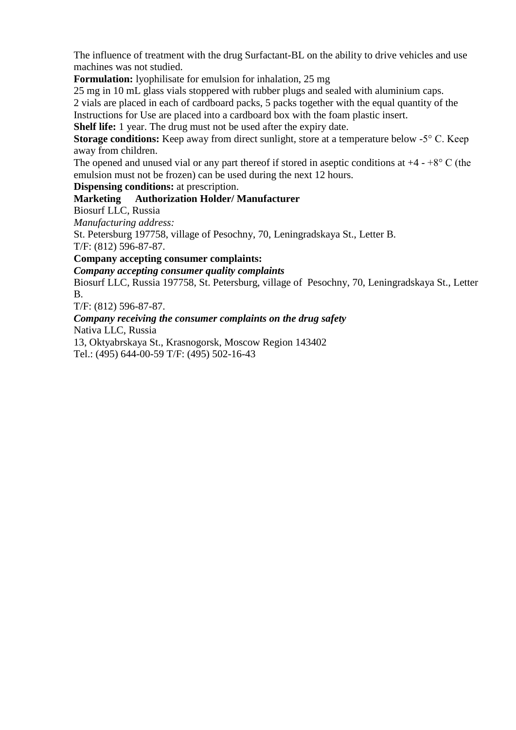The influence of treatment with the drug Surfactant-BL on the ability to drive vehicles and use machines was not studied.

**Formulation:** lyophilisate for emulsion for inhalation, 25 mg

25 mg in 10 mL glass vials stoppered with rubber plugs and sealed with aluminium caps.

2 vials are placed in each of cardboard packs, 5 packs together with the equal quantity of the

Instructions for Use are placed into a cardboard box with the foam plastic insert.

**Shelf life:** 1 year. The drug must not be used after the expiry date.

**Storage conditions:** Keep away from direct sunlight, store at a temperature below -5<sup>o</sup> C. Keep away from children.

The opened and unused vial or any part thereof if stored in aseptic conditions at  $+4 - +8$ °C (the emulsion must not be frozen) can be used during the next 12 hours.

**Dispensing conditions:** at prescription.

## **Marketing Authorization Holder/ Manufacturer**

Biosurf LLC, Russia

*Manufacturing address:*

St. Petersburg 197758, village of Pesochny, 70, Leningradskaya St., Letter B.

T/F: (812) 596-87-87.

**Company accepting consumer complaints:**

*Company accepting consumer quality complaints*

Biosurf LLC, Russia 197758, St. Petersburg, village of Pesochny, 70, Leningradskaya St., Letter B.

T/F: (812) 596-87-87.

*Company receiving the consumer complaints on the drug safety* Nativa LLC, Russia

13, Oktyabrskaya St., Krasnogorsk, Moscow Region 143402 Tel.: (495) 644-00-59 T/F: (495) 502-16-43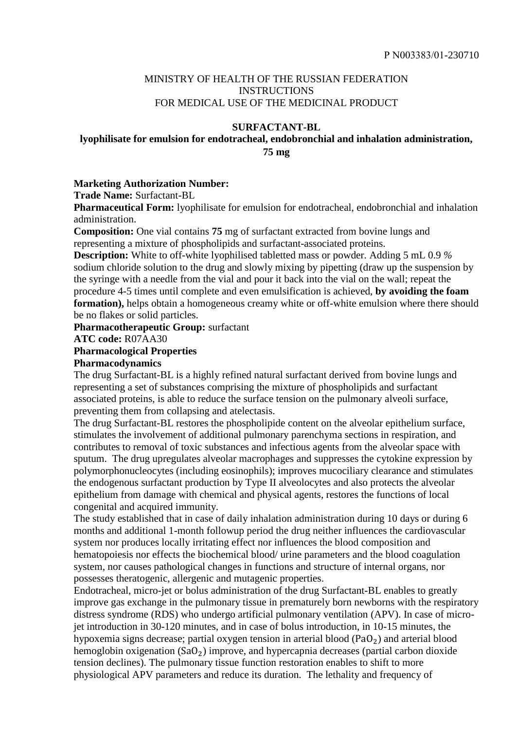## MINISTRY OF HEALTH OF THE RUSSIAN FEDERATION INSTRUCTIONS FOR MEDICAL USE OF THE MEDICINAL PRODUCT

#### **SURFACTANT-BL**

# **lyophilisate for emulsion for endotracheal, endobronchial and inhalation administration, 75 mg**

#### **Marketing Authorization Number:**

**Trade Name:** Surfactant-BL

**Pharmaceutical Form:** lyophilisate for emulsion for endotracheal, endobronchial and inhalation administration.

**Composition:** One vial contains **75** mg of surfactant extracted from bovine lungs and representing a mixture of phospholipids and surfactant-associated proteins.

**Description:** White to off-white lyophilised tabletted mass or powder. Adding 5 mL 0.9 *%* sodium chloride solution to the drug and slowly mixing by pipetting (draw up the suspension by the syringe with a needle from the vial and pour it back into the vial on the wall; repeat the procedure 4-5 times until complete and even emulsification is achieved, **by avoiding the foam formation),** helps obtain a homogeneous creamy white or off-white emulsion where there should be no flakes or solid particles.

**Pharmacotherapeutic Group:** surfactant

**ATC code:** R07AA30

#### **Pharmacological Properties**

#### **Pharmacodynamics**

The drug Surfactant-BL is a highly refined natural surfactant derived from bovine lungs and representing a set of substances comprising the mixture of phospholipids and surfactant associated proteins, is able to reduce the surface tension on the pulmonary alveoli surface, preventing them from collapsing and atelectasis.

The drug Surfactant-BL restores the phospholipide content on the alveolar epithelium surface, stimulates the involvement of additional pulmonary parenchyma sections in respiration, and contributes to removal of toxic substances and infectious agents from the alveolar space with sputum. The drug upregulates alveolar macrophages and suppresses the cytokine expression by polymorphonucleocytes (including eosinophils); improves mucociliary clearance and stimulates the endogenous surfactant production by Type II alveolocytes and also protects the alveolar epithelium from damage with chemical and physical agents, restores the functions of local congenital and acquired immunity.

The study established that in case of daily inhalation administration during 10 days or during 6 months and additional 1-month followup period the drug neither influences the cardiovascular system nor produces locally irritating effect nor influences the blood composition and hematopoiesis nor effects the biochemical blood/ urine parameters and the blood coagulation system, nor causes pathological changes in functions and structure of internal organs, nor possesses theratogenic, allergenic and mutagenic properties.

Endotracheal, micro-jet or bolus administration of the drug Surfactant-BL enables to greatly improve gas exchange in the pulmonary tissue in prematurely born newborns with the respiratory distress syndrome (RDS) who undergo artificial pulmonary ventilation (APV). In case of microjet introduction in 30-120 minutes, and in case of bolus introduction, in 10-15 minutes, the hypoxemia signs decrease; partial oxygen tension in arterial blood ( $PaO<sub>2</sub>$ ) and arterial blood hemoglobin oxigenation  $(SaO<sub>2</sub>)$  improve, and hypercapnia decreases (partial carbon dioxide tension declines). The pulmonary tissue function restoration enables to shift to more physiological APV parameters and reduce its duration. The lethality and frequency of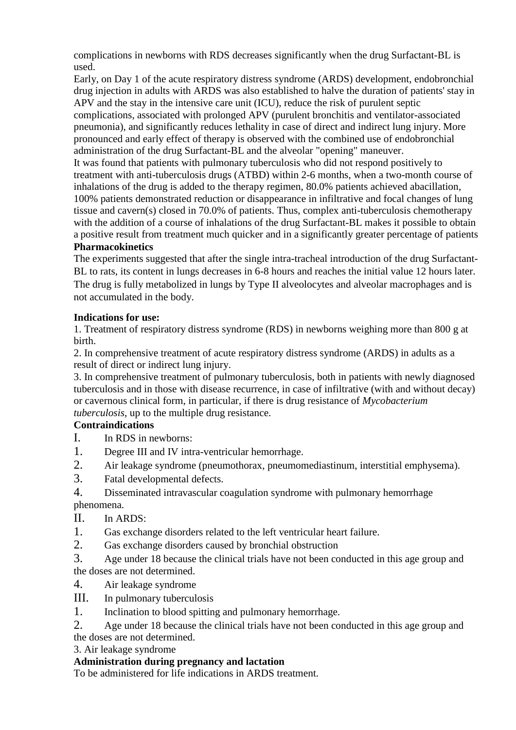complications in newborns with RDS decreases significantly when the drug Surfactant-BL is used.

Early, on Day 1 of the acute respiratory distress syndrome (ARDS) development, endobronchial drug injection in adults with ARDS was also established to halve the duration of patients' stay in APV and the stay in the intensive care unit (ICU), reduce the risk of purulent septic complications, associated with prolonged APV (purulent bronchitis and ventilator-associated pneumonia), and significantly reduces lethality in case of direct and indirect lung injury. More pronounced and early effect of therapy is observed with the combined use of endobronchial administration of the drug Surfactant-BL and the alveolar "opening" maneuver.

It was found that patients with pulmonary tuberculosis who did not respond positively to treatment with anti-tuberculosis drugs (ATBD) within 2-6 months, when a two-month course of inhalations of the drug is added to the therapy regimen, 80.0% patients achieved abacillation, 100% patients demonstrated reduction or disappearance in infiltrative and focal changes of lung tissue and cavern(s) closed in 70.0% of patients. Thus, complex anti-tuberculosis chemotherapy with the addition of a course of inhalations of the drug Surfactant-BL makes it possible to obtain a positive result from treatment much quicker and in a significantly greater percentage of patients **Pharmacokinetics**

The experiments suggested that after the single intra-tracheal introduction of the drug Surfactant-BL to rats, its content in lungs decreases in 6-8 hours and reaches the initial value 12 hours later. The drug is fully metabolized in lungs by Type II alveolocytes and alveolar macrophages and is not accumulated in the body.

# **Indications for use:**

1. Treatment of respiratory distress syndrome (RDS) in newborns weighing more than 800 g at birth.

2. In comprehensive treatment of acute respiratory distress syndrome (ARDS) in adults as a result of direct or indirect lung injury.

3. In comprehensive treatment of pulmonary tuberculosis, both in patients with newly diagnosed tuberculosis and in those with disease recurrence, in case of infiltrative (with and without decay) or cavernous clinical form, in particular, if there is drug resistance of *Mycobacterium tuberculosis*, up to the multiple drug resistance.

# **Contraindications**

- I. In RDS in newborns:
- 1. Degree III and IV intra-ventricular hemorrhage.
- 2. Air leakage syndrome (pneumothorax, pneumomediastinum, interstitial emphysema).
- 3. Fatal developmental defects.
- 4. Disseminated intravascular coagulation syndrome with pulmonary hemorrhage phenomena.
- II. In ARDS:
- 1. Gas exchange disorders related to the left ventricular heart failure.
- 2. Gas exchange disorders caused by bronchial obstruction
- 3. Age under 18 because the clinical trials have not been conducted in this age group and the doses are not determined.
- 4. Air leakage syndrome
- III. In pulmonary tuberculosis
- 1. Inclination to blood spitting and pulmonary hemorrhage.

2. Age under 18 because the clinical trials have not been conducted in this age group and the doses are not determined.

3. Air leakage syndrome

# **Administration during pregnancy and lactation**

To be administered for life indications in ARDS treatment.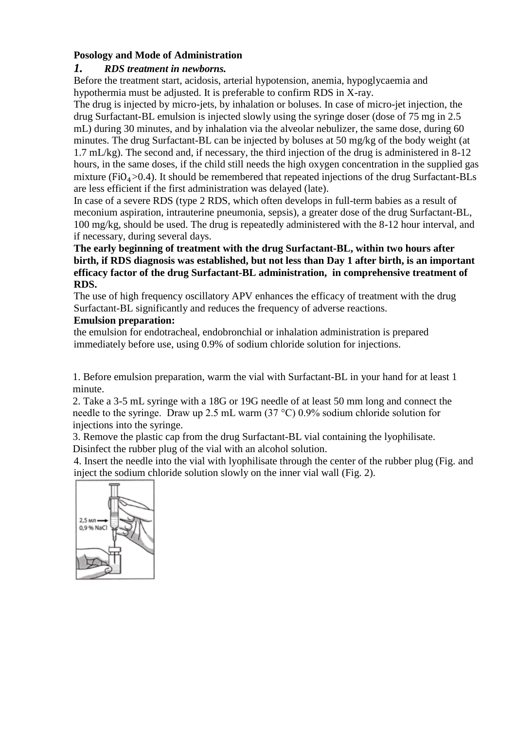# **Posology and Mode of Administration**

# *1. RDS treatment in newborns.*

Before the treatment start, acidosis, arterial hypotension, anemia, hypoglycaemia and hypothermia must be adjusted. It is preferable to confirm RDS in X-ray.

The drug is injected by micro-jets, by inhalation or boluses. In case of micro-jet injection, the drug Surfactant-BL emulsion is injected slowly using the syringe doser (dose of 75 mg in 2.5 mL) during 30 minutes, and by inhalation via the alveolar nebulizer, the same dose, during 60 minutes. The drug Surfactant-BL can be injected by boluses at 50 mg/kg of the body weight (at 1.7 mL/kg). The second and, if necessary, the third injection of the drug is administered in 8-12 hours, in the same doses, if the child still needs the high oxygen concentration in the supplied gas mixture ( $FiO<sub>4</sub> > 0.4$ ). It should be remembered that repeated injections of the drug Surfactant-BLs are less efficient if the first administration was delayed (late).

In case of a severe RDS (type 2 RDS, which often develops in full-term babies as a result of meconium aspiration, intrauterine pneumonia, sepsis), a greater dose of the drug Surfactant-BL, 100 mg/kg, should be used. The drug is repeatedly administered with the 8-12 hour interval, and if necessary, during several days.

## **The early beginning of treatment with the drug Surfactant-BL, within two hours after birth, if RDS diagnosis was established, but not less than Day 1 after birth, is an important efficacy factor of the drug Surfactant-BL administration, in comprehensive treatment of RDS.**

The use of high frequency oscillatory APV enhances the efficacy of treatment with the drug Surfactant-BL significantly and reduces the frequency of adverse reactions.

## **Emulsion preparation:**

the emulsion for endotracheal, endobronchial or inhalation administration is prepared immediately before use, using 0.9% of sodium chloride solution for injections.

1. Before emulsion preparation, warm the vial with Surfactant-BL in your hand for at least 1 minute.

2. Take a 3-5 mL syringe with a 18G or 19G needle of at least 50 mm long and connect the needle to the syringe. Draw up 2.5 mL warm (37 °С) 0.9% sodium chloride solution for injections into the syringe.

3. Remove the plastic cap from the drug Surfactant-BL vial containing the lyophilisate. Disinfect the rubber plug of the vial with an alcohol solution.

4. Insert the needle into the vial with lyophilisate through the center of the rubber plug (Fig. and inject the sodium chloride solution slowly on the inner vial wall (Fig. 2).

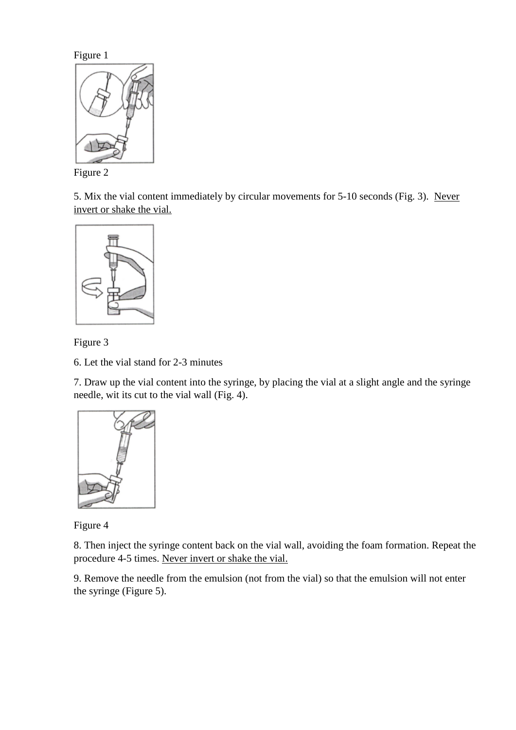Figure 1



Figure 2

5. Mix the vial content immediately by circular movements for 5-10 seconds (Fig. 3). Never invert or shake the vial.



Figure 3

6. Let the vial stand for 2-3 minutes

7. Draw up the vial content into the syringe, by placing the vial at a slight angle and the syringe needle, wit its cut to the vial wall (Fig. 4).



Figure 4

8. Then inject the syringe content back on the vial wall, avoiding the foam formation. Repeat the procedure 4-5 times. Never invert or shake the vial.

9. Remove the needle from the emulsion (not from the vial) so that the emulsion will not enter the syringe (Figure 5).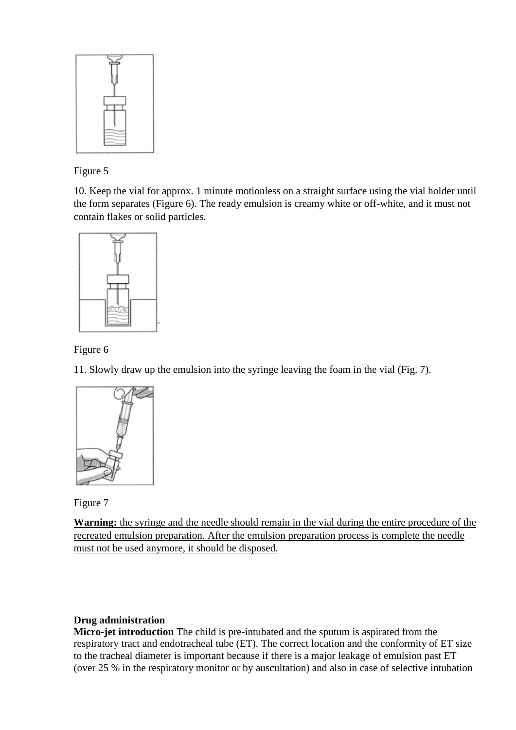

Figure 5

10. Keep the vial for approx. 1 minute motionless on a straight surface using the vial holder until the form separates (Figure 6). The ready emulsion is creamy white or off-white, and it must not contain flakes or solid particles.



Figure 6

11. Slowly draw up the emulsion into the syringe leaving the foam in the vial (Fig. 7).



Figure 7

**Warning:** the syringe and the needle should remain in the vial during the entire procedure of the recreated emulsion preparation. After the emulsion preparation process is complete the needle must not be used anymore, it should be disposed.

# **Drug administration**

**Micro-jet introduction** The child is pre-intubated and the sputum is aspirated from the respiratory tract and endotracheal tube (ET). The correct location and the conformity of ET size to the tracheal diameter is important because if there is a major leakage of emulsion past ET (over 25 % in the respiratory monitor or by auscultation) and also in case of selective intubation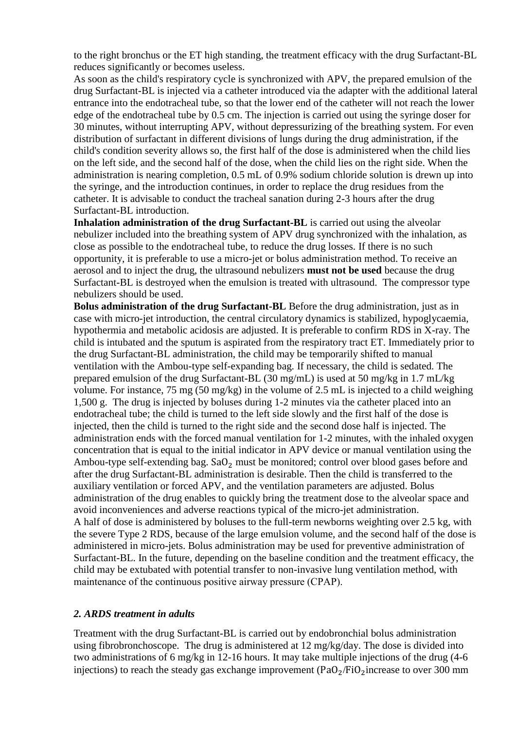to the right bronchus or the ET high standing, the treatment efficacy with the drug Surfactant-BL reduces significantly or becomes useless.

As soon as the child's respiratory cycle is synchronized with APV, the prepared emulsion of the drug Surfactant-BL is injected via a catheter introduced via the adapter with the additional lateral entrance into the endotracheal tube, so that the lower end of the catheter will not reach the lower edge of the endotracheal tube by 0.5 cm. The injection is carried out using the syringe doser for 30 minutes, without interrupting APV, without depressurizing of the breathing system. For even distribution of surfactant in different divisions of lungs during the drug administration, if the child's condition severity allows so, the first half of the dose is administered when the child lies on the left side, and the second half of the dose, when the child lies on the right side. When the administration is nearing completion, 0.5 mL of 0.9% sodium chloride solution is drewn up into the syringe, and the introduction continues, in order to replace the drug residues from the catheter. It is advisable to conduct the tracheal sanation during 2-3 hours after the drug Surfactant-BL introduction.

**Inhalation administration of the drug Surfactant-BL** is carried out using the alveolar nebulizer included into the breathing system of APV drug synchronized with the inhalation, as close as possible to the endotracheal tube, to reduce the drug losses. If there is no such opportunity, it is preferable to use a micro-jet or bolus administration method. To receive an aerosol and to inject the drug, the ultrasound nebulizers **must not be used** because the drug Surfactant-BL is destroyed when the emulsion is treated with ultrasound. The compressor type nebulizers should be used.

**Bolus administration of the drug Surfactant-BL** Before the drug administration, just as in case with micro-jet introduction, the central circulatory dynamics is stabilized, hypoglycaemia, hypothermia and metabolic acidosis are adjusted. It is preferable to confirm RDS in X-ray. The child is intubated and the sputum is aspirated from the respiratory tract ET. Immediately prior to the drug Surfactant-BL administration, the child may be temporarily shifted to manual ventilation with the Ambou-type self-expanding bag. If necessary, the child is sedated. The prepared emulsion of the drug Surfactant-BL (30 mg/mL) is used at 50 mg/kg in 1.7 mL/kg volume. For instance, 75 mg (50 mg/kg) in the volume of 2.5 mL is injected to a child weighing 1,500 g. The drug is injected by boluses during 1-2 minutes via the catheter placed into an endotracheal tube; the child is turned to the left side slowly and the first half of the dose is injected, then the child is turned to the right side and the second dose half is injected. The administration ends with the forced manual ventilation for 1-2 minutes, with the inhaled oxygen concentration that is equal to the initial indicator in APV device or manual ventilation using the Ambou-type self-extending bag.  $a_2$  must be monitored; control over blood gases before and after the drug Surfactant-BL administration is desirable. Then the child is transferred to the auxiliary ventilation or forced APV, and the ventilation parameters are adjusted. Bolus administration of the drug enables to quickly bring the treatment dose to the alveolar space and avoid inconveniences and adverse reactions typical of the micro-jet administration. A half of dose is administered by boluses to the full-term newborns weighting over 2.5 kg, with the severe Type 2 RDS, because of the large emulsion volume, and the second half of the dose is administered in micro-jets. Bolus administration may be used for preventive administration of Surfactant-BL. In the future, depending on the baseline condition and the treatment efficacy, the child may be extubated with potential transfer to non-invasive lung ventilation method, with maintenance of the continuous positive airway pressure (CPАР).

#### *2. ARDS treatment in adults*

Treatment with the drug Surfactant-BL is carried out by endobronchial bolus administration using fibrobronchoscope. The drug is administered at 12 mg/kg/day. The dose is divided into two administrations of 6 mg/kg in 12-16 hours. It may take multiple injections of the drug (4-6 injections) to reach the steady gas exchange improvement  $(PaO<sub>2</sub>/FiO<sub>2</sub>)$  increase to over 300 mm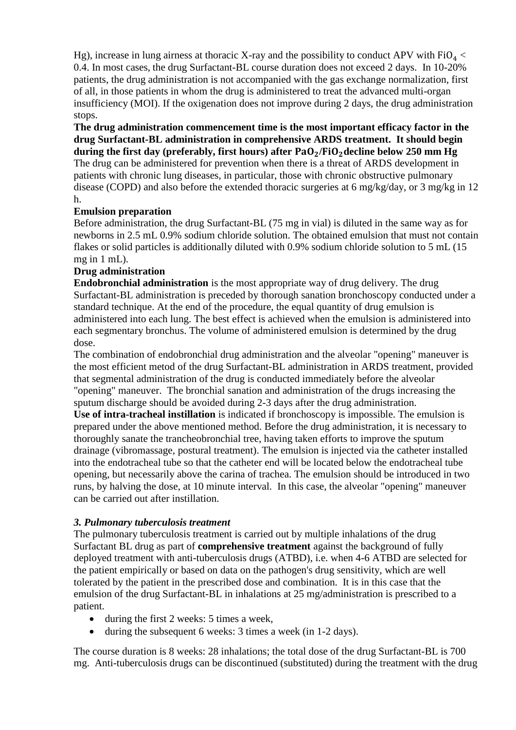Hg), increase in lung airness at thoracic X-ray and the possibility to conduct APV with  $FiO<sub>4</sub>$ 0.4. In most cases, the drug Surfactant-BL course duration does not exceed 2 days. In 10-20% patients, the drug administration is not accompanied with the gas exchange normalization, first of all, in those patients in whom the drug is administered to treat the advanced multi-organ insufficiency (MOI). If the oxigenation does not improve during 2 days, the drug administration stops.

**The drug administration commencement time is the most important efficacy factor in the drug Surfactant-BL administration in comprehensive ARDS treatment. It should begin**  during the first day (preferably, first hours) after PaO<sub>2</sub>/FiO<sub>2</sub> decline below 250 mm Hg The drug can be administered for prevention when there is a threat of ARDS development in patients with chronic lung diseases, in particular, those with chronic obstructive pulmonary disease (COPD) and also before the extended thoracic surgeries at 6 mg/kg/day, or 3 mg/kg in 12 h.

## **Emulsion preparation**

Before administration, the drug Surfactant-BL (75 mg in vial) is diluted in the same way as for newborns in 2.5 mL 0.9% sodium chloride solution. The obtained emulsion that must not contain flakes or solid particles is additionally diluted with 0.9% sodium chloride solution to 5 mL (15 mg in 1 mL).

# **Drug administration**

**Endobronchial administration** is the most appropriate way of drug delivery. The drug Surfactant-BL administration is preceded by thorough sanation bronchoscopy conducted under a standard technique. At the end of the procedure, the equal quantity of drug emulsion is administered into each lung. The best effect is achieved when the emulsion is administered into each segmentary bronchus. The volume of administered emulsion is determined by the drug dose.

The combination of endobronchial drug administration and the alveolar "opening" maneuver is the most efficient metod of the drug Surfactant-BL administration in ARDS treatment, provided that segmental administration of the drug is conducted immediately before the alveolar "opening" maneuver. The bronchial sanation and administration of the drugs increasing the sputum discharge should be avoided during 2-3 days after the drug administration.

**Use of intra-tracheal instillation** is indicated if bronchoscopy is impossible. The emulsion is prepared under the above mentioned method. Before the drug administration, it is necessary to thoroughly sanate the trancheobronchial tree, having taken efforts to improve the sputum drainage (vibromassage, postural treatment). The emulsion is injected via the catheter installed into the endotracheal tube so that the catheter end will be located below the endotracheal tube opening, but necessarily above the carina of trachea. The emulsion should be introduced in two runs, by halving the dose, at 10 minute interval. In this case, the alveolar "opening" maneuver can be carried out after instillation.

## *3. Pulmonary tuberculosis treatment*

The pulmonary tuberculosis treatment is carried out by multiple inhalations of the drug Surfactant BL drug as part of **comprehensive treatment** against the background of fully deployed treatment with anti-tuberculosis drugs (ATBD), i.e. when 4-6 ATBD are selected for the patient empirically or based on data on the pathogen's drug sensitivity, which are well tolerated by the patient in the prescribed dose and combination. It is in this case that the emulsion of the drug Surfactant-BL in inhalations at 25 mg/administration is prescribed to a patient.

- during the first 2 weeks: 5 times a week,
- during the subsequent 6 weeks: 3 times a week (in 1-2 days).

The course duration is 8 weeks: 28 inhalations; the total dose of the drug Surfactant-BL is 700 mg. Anti-tuberculosis drugs can be discontinued (substituted) during the treatment with the drug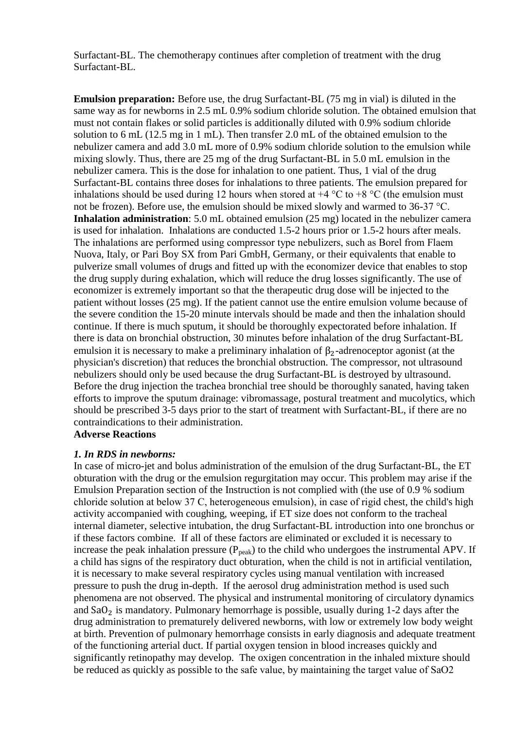Surfactant-BL. The chemotherapy continues after completion of treatment with the drug Surfactant-BL.

**Emulsion preparation:** Before use, the drug Surfactant-BL (75 mg in vial) is diluted in the same way as for newborns in 2.5 mL 0.9% sodium chloride solution. The obtained emulsion that must not contain flakes or solid particles is additionally diluted with 0.9% sodium chloride solution to 6 mL (12.5 mg in 1 mL). Then transfer 2.0 mL of the obtained emulsion to the nebulizer camera and add 3.0 mL more of 0.9% sodium chloride solution to the emulsion while mixing slowly. Thus, there are 25 mg of the drug Surfactant-BL in 5.0 mL emulsion in the nebulizer camera. This is the dose for inhalation to one patient. Thus, 1 vial of the drug Surfactant-BL contains three doses for inhalations to three patients. The emulsion prepared for inhalations should be used during 12 hours when stored at  $+4$  °C to  $+8$  °C (the emulsion must not be frozen). Before use, the emulsion should be mixed slowly and warmed to 36-37 °С. **Inhalation administration**: 5.0 mL obtained emulsion (25 mg) located in the nebulizer camera is used for inhalation. Inhalations are conducted 1.5-2 hours prior or 1.5-2 hours after meals. The inhalations are performed using compressor type nebulizers, such as Borel from Flaem Nuova, Italy, or Pari Boy SX from Pari GmbH, Germany, or their equivalents that enable to pulverize small volumes of drugs and fitted up with the economizer device that enables to stop the drug supply during exhalation, which will reduce the drug losses significantly. The use of economizer is extremely important so that the therapeutic drug dose will be injected to the patient without losses (25 mg). If the patient cannot use the entire emulsion volume because of the severe condition the 15-20 minute intervals should be made and then the inhalation should continue. If there is much sputum, it should be thoroughly expectorated before inhalation. If there is data on bronchial obstruction, 30 minutes before inhalation of the drug Surfactant-BL emulsion it is necessary to make a preliminary inhalation of  $\beta_2$ -adrenoceptor agonist (at the physician's discretion) that reduces the bronchial obstruction. The compressor, not ultrasound nebulizers should only be used because the drug Surfactant-BL is destroyed by ultrasound. Before the drug injection the trachea bronchial tree should be thoroughly sanated, having taken efforts to improve the sputum drainage: vibromassage, postural treatment and mucolytics, which should be prescribed 3-5 days prior to the start of treatment with Surfactant-BL, if there are no contraindications to their administration.

## **Adverse Reactions**

#### *1. In RDS in newborns:*

In case of micro-jet and bolus administration of the emulsion of the drug Surfactant-BL, the ET obturation with the drug or the emulsion regurgitation may occur. This problem may arise if the Emulsion Preparation section of the Instruction is not complied with (the use of 0.9 % sodium chloride solution at below 37 С, heterogeneous emulsion), in case of rigid chest, the child's high activity accompanied with coughing, weeping, if ET size does not conform to the tracheal internal diameter, selective intubation, the drug Surfactant-BL introduction into one bronchus or if these factors combine. If all of these factors are eliminated or excluded it is necessary to increase the peak inhalation pressure  $(P_{peak})$  to the child who undergoes the instrumental APV. If a child has signs of the respiratory duct obturation, when the child is not in artificial ventilation, it is necessary to make several respiratory cycles using manual ventilation with increased pressure to push the drug in-depth. If the aerosol drug administration method is used such phenomena are not observed. The physical and instrumental monitoring of circulatory dynamics and  $SaO<sub>2</sub>$  is mandatory. Pulmonary hemorrhage is possible, usually during 1-2 days after the drug administration to prematurely delivered newborns, with low or extremely low body weight at birth. Prevention of pulmonary hemorrhage consists in early diagnosis and adequate treatment of the functioning arterial duct. If partial oxygen tension in blood increases quickly and significantly retinopathy may develop. The oxigen concentration in the inhaled mixture should be reduced as quickly as possible to the safe value, by maintaining the target value of SаО2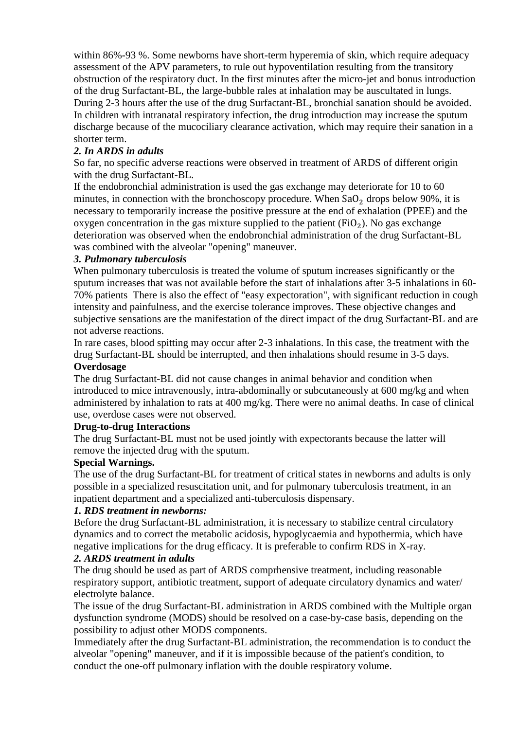within 86%-93 %. Some newborns have short-term hyperemia of skin, which require adequacy assessment of the APV parameters, to rule out hypoventilation resulting from the transitory obstruction of the respiratory duct. In the first minutes after the micro-jet and bonus introduction of the drug Surfactant-BL, the large-bubble rales at inhalation may be auscultated in lungs. During 2-3 hours after the use of the drug Surfactant-BL, bronchial sanation should be avoided. In children with intranatal respiratory infection, the drug introduction may increase the sputum discharge because of the mucociliary clearance activation, which may require their sanation in a shorter term.

## *2. In ARDS in adults*

So far, no specific adverse reactions were observed in treatment of ARDS of different origin with the drug Surfactant-BL.

If the endobronchial administration is used the gas exchange may deteriorate for 10 to 60 minutes, in connection with the bronchoscopy procedure. When  $\text{SaO}_2$  drops below 90%, it is necessary to temporarily increase the positive pressure at the end of exhalation (PPEE) and the oxygen concentration in the gas mixture supplied to the patient  $(FiO<sub>2</sub>)$ . No gas exchange deterioration was observed when the endobronchial administration of the drug Surfactant-BL was combined with the alveolar "opening" maneuver.

## *3. Pulmonary tuberculosis*

When pulmonary tuberculosis is treated the volume of sputum increases significantly or the sputum increases that was not available before the start of inhalations after 3-5 inhalations in 60- 70% patients There is also the effect of "easy expectoration", with significant reduction in cough intensity and painfulness, and the exercise tolerance improves. These objective changes and subjective sensations are the manifestation of the direct impact of the drug Surfactant-BL and are not adverse reactions.

In rare cases, blood spitting may occur after 2-3 inhalations. In this case, the treatment with the drug Surfactant-BL should be interrupted, and then inhalations should resume in 3-5 days. **Overdosage**

The drug Surfactant-BL did not cause changes in animal behavior and condition when introduced to mice intravenously, intra-abdominally or subcutaneously at 600 mg/kg and when administered by inhalation to rats at 400 mg/kg. There were no animal deaths. In case of clinical use, overdose cases were not observed.

## **Drug-to-drug Interactions**

The drug Surfactant-BL must not be used jointly with expectorants because the latter will remove the injected drug with the sputum.

#### **Special Warnings.**

The use of the drug Surfactant-BL for treatment of critical states in newborns and adults is only possible in a specialized resuscitation unit, and for pulmonary tuberculosis treatment, in an inpatient department and a specialized anti-tuberculosis dispensary.

## *1. RDS treatment in newborns:*

Before the drug Surfactant-BL administration, it is necessary to stabilize central circulatory dynamics and to correct the metabolic acidosis, hypoglycaemia and hypothermia, which have negative implications for the drug efficacy. It is preferable to confirm RDS in X-ray.

#### *2. ARDS treatment in adults*

The drug should be used as part of ARDS comprhensive treatment, including reasonable respiratory support, antibiotic treatment, support of adequate circulatory dynamics and water/ electrolyte balance.

The issue of the drug Surfactant-BL administration in ARDS combined with the Multiple organ dysfunction syndrome (MODS) should be resolved on a case-by-case basis, depending on the possibility to adjust other MODS components.

Immediately after the drug Surfactant-BL administration, the recommendation is to conduct the alveolar "opening" maneuver, and if it is impossible because of the patient's condition, to conduct the one-off pulmonary inflation with the double respiratory volume.